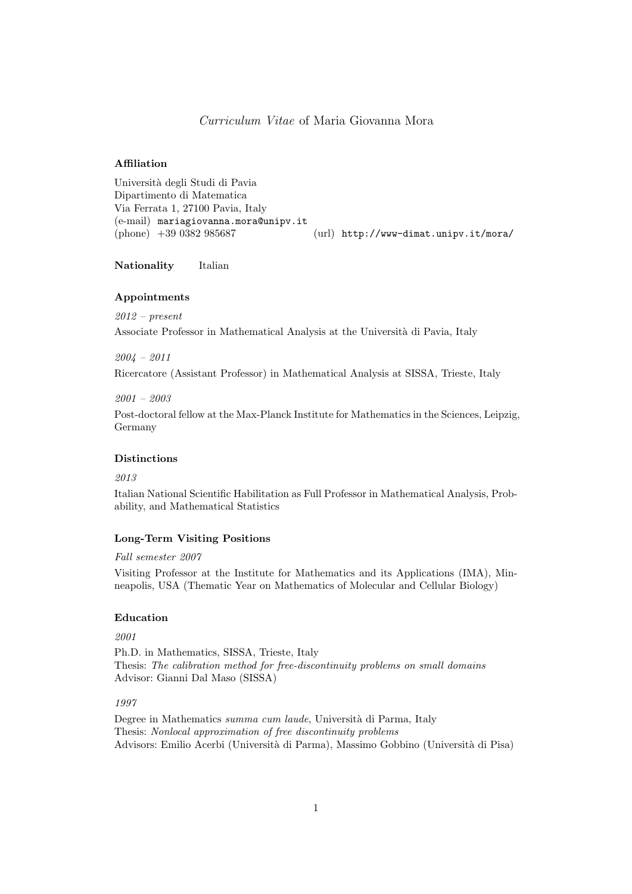# Curriculum Vitae of Maria Giovanna Mora

#### Affiliation

Universit`a degli Studi di Pavia Dipartimento di Matematica Via Ferrata 1, 27100 Pavia, Italy (e-mail) mariagiovanna.mora@unipv.it (phone) +39 0382 985687 (url) http://www-dimat.unipv.it/mora/

Nationality Italian

### Appointments

2012 – present Associate Professor in Mathematical Analysis at the Università di Pavia, Italy

2004 – 2011

Ricercatore (Assistant Professor) in Mathematical Analysis at SISSA, Trieste, Italy

#### 2001 – 2003

Post-doctoral fellow at the Max-Planck Institute for Mathematics in the Sciences, Leipzig, Germany

### Distinctions

2013

Italian National Scientific Habilitation as Full Professor in Mathematical Analysis, Probability, and Mathematical Statistics

# Long-Term Visiting Positions

#### Fall semester 2007

Visiting Professor at the Institute for Mathematics and its Applications (IMA), Minneapolis, USA (Thematic Year on Mathematics of Molecular and Cellular Biology)

# Education

2001

Ph.D. in Mathematics, SISSA, Trieste, Italy Thesis: The calibration method for free-discontinuity problems on small domains Advisor: Gianni Dal Maso (SISSA)

# 1997

Degree in Mathematics summa cum laude, Università di Parma, Italy Thesis: Nonlocal approximation of free discontinuity problems Advisors: Emilio Acerbi (Universit`a di Parma), Massimo Gobbino (Universit`a di Pisa)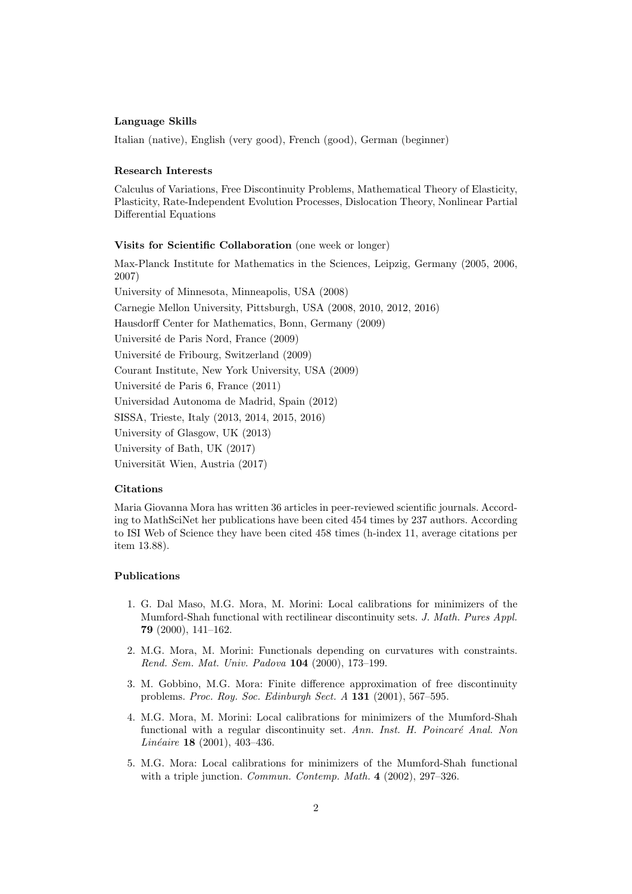#### Language Skills

Italian (native), English (very good), French (good), German (beginner)

# Research Interests

Calculus of Variations, Free Discontinuity Problems, Mathematical Theory of Elasticity, Plasticity, Rate-Independent Evolution Processes, Dislocation Theory, Nonlinear Partial Differential Equations

#### Visits for Scientific Collaboration (one week or longer)

Max-Planck Institute for Mathematics in the Sciences, Leipzig, Germany (2005, 2006, 2007) University of Minnesota, Minneapolis, USA (2008) Carnegie Mellon University, Pittsburgh, USA (2008, 2010, 2012, 2016) Hausdorff Center for Mathematics, Bonn, Germany (2009) Université de Paris Nord, France (2009) Université de Fribourg, Switzerland (2009) Courant Institute, New York University, USA (2009) Université de Paris 6, France (2011) Universidad Autonoma de Madrid, Spain (2012) SISSA, Trieste, Italy (2013, 2014, 2015, 2016) University of Glasgow, UK (2013) University of Bath, UK (2017) Universität Wien, Austria (2017)

# Citations

Maria Giovanna Mora has written 36 articles in peer-reviewed scientific journals. According to MathSciNet her publications have been cited 454 times by 237 authors. According to ISI Web of Science they have been cited 458 times (h-index 11, average citations per item 13.88).

# Publications

- 1. G. Dal Maso, M.G. Mora, M. Morini: Local calibrations for minimizers of the Mumford-Shah functional with rectilinear discontinuity sets. J. Math. Pures Appl. 79 (2000), 141–162.
- 2. M.G. Mora, M. Morini: Functionals depending on curvatures with constraints. Rend. Sem. Mat. Univ. Padova 104 (2000), 173–199.
- 3. M. Gobbino, M.G. Mora: Finite difference approximation of free discontinuity problems. Proc. Roy. Soc. Edinburgh Sect. A 131 (2001), 567–595.
- 4. M.G. Mora, M. Morini: Local calibrations for minimizers of the Mumford-Shah functional with a regular discontinuity set. Ann. Inst. H. Poincaré Anal. Non Linéaire 18 (2001), 403-436.
- 5. M.G. Mora: Local calibrations for minimizers of the Mumford-Shah functional with a triple junction. *Commun. Contemp. Math.* 4 (2002), 297-326.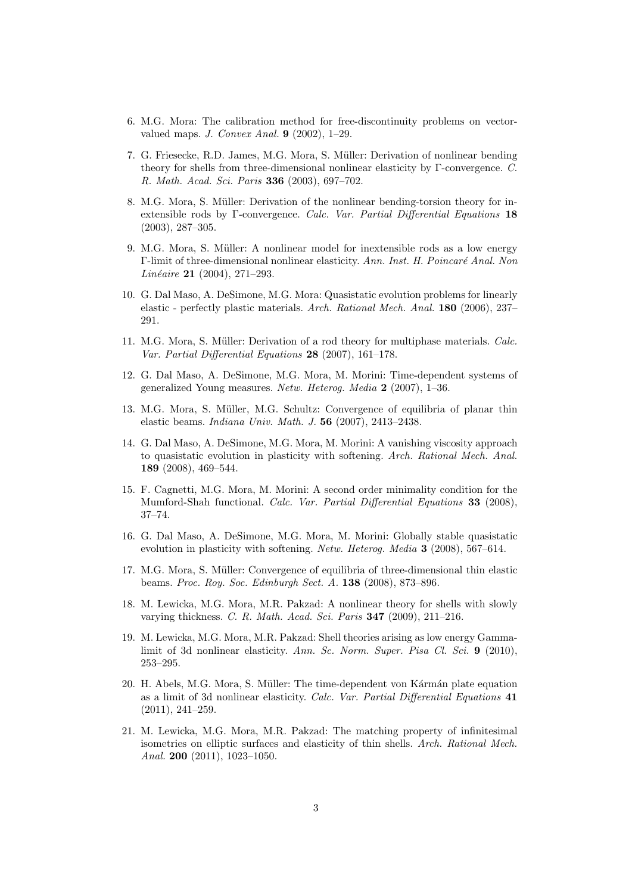- 6. M.G. Mora: The calibration method for free-discontinuity problems on vectorvalued maps. J. Convex Anal. 9 (2002), 1–29.
- 7. G. Friesecke, R.D. James, M.G. Mora, S. M¨uller: Derivation of nonlinear bending theory for shells from three-dimensional nonlinear elasticity by Γ-convergence. C. R. Math. Acad. Sci. Paris 336 (2003), 697–702.
- 8. M.G. Mora, S. Müller: Derivation of the nonlinear bending-torsion theory for inextensible rods by Γ-convergence. Calc. Var. Partial Differential Equations 18 (2003), 287–305.
- 9. M.G. Mora, S. Müller: A nonlinear model for inextensible rods as a low energy Γ-limit of three-dimensional nonlinear elasticity. Ann. Inst. H. Poincaré Anal. Non Linéaire 21 (2004), 271–293.
- 10. G. Dal Maso, A. DeSimone, M.G. Mora: Quasistatic evolution problems for linearly elastic - perfectly plastic materials. Arch. Rational Mech. Anal. 180 (2006), 237– 291.
- 11. M.G. Mora, S. Müller: Derivation of a rod theory for multiphase materials. *Calc.* Var. Partial Differential Equations 28 (2007), 161–178.
- 12. G. Dal Maso, A. DeSimone, M.G. Mora, M. Morini: Time-dependent systems of generalized Young measures. Netw. Heterog. Media 2 (2007), 1–36.
- 13. M.G. Mora, S. Müller, M.G. Schultz: Convergence of equilibria of planar thin elastic beams. Indiana Univ. Math. J. 56 (2007), 2413–2438.
- 14. G. Dal Maso, A. DeSimone, M.G. Mora, M. Morini: A vanishing viscosity approach to quasistatic evolution in plasticity with softening. Arch. Rational Mech. Anal. 189 (2008), 469–544.
- 15. F. Cagnetti, M.G. Mora, M. Morini: A second order minimality condition for the Mumford-Shah functional. Calc. Var. Partial Differential Equations 33 (2008), 37–74.
- 16. G. Dal Maso, A. DeSimone, M.G. Mora, M. Morini: Globally stable quasistatic evolution in plasticity with softening. Netw. Heterog. Media 3 (2008), 567–614.
- 17. M.G. Mora, S. M¨uller: Convergence of equilibria of three-dimensional thin elastic beams. Proc. Roy. Soc. Edinburgh Sect. A. 138 (2008), 873–896.
- 18. M. Lewicka, M.G. Mora, M.R. Pakzad: A nonlinear theory for shells with slowly varying thickness. C. R. Math. Acad. Sci. Paris 347 (2009), 211–216.
- 19. M. Lewicka, M.G. Mora, M.R. Pakzad: Shell theories arising as low energy Gammalimit of 3d nonlinear elasticity. Ann. Sc. Norm. Super. Pisa Cl. Sci.  $9$  (2010), 253–295.
- 20. H. Abels, M.G. Mora, S. Müller: The time-dependent von Kármán plate equation as a limit of 3d nonlinear elasticity. Calc. Var. Partial Differential Equations 41 (2011), 241–259.
- 21. M. Lewicka, M.G. Mora, M.R. Pakzad: The matching property of infinitesimal isometries on elliptic surfaces and elasticity of thin shells. Arch. Rational Mech. Anal. 200 (2011), 1023–1050.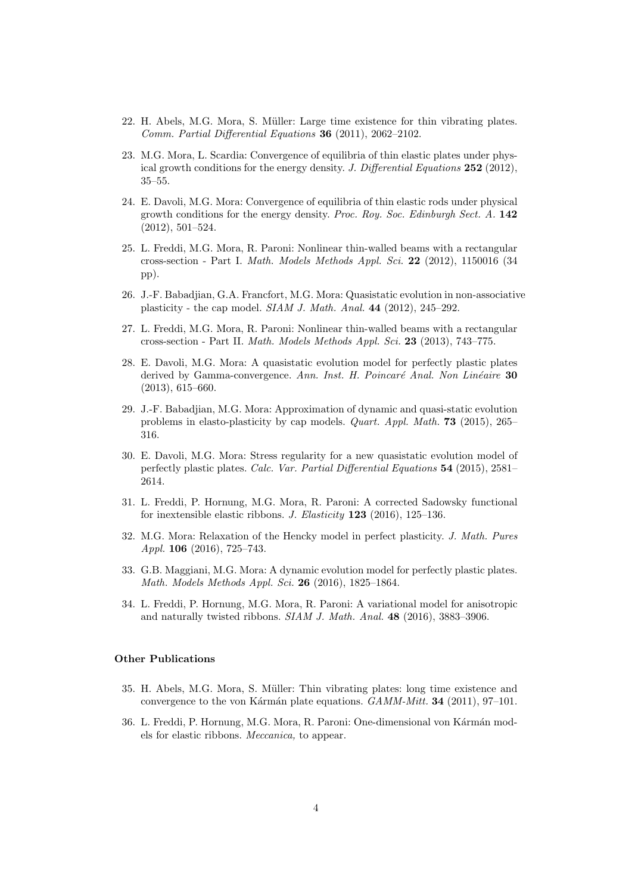- 22. H. Abels, M.G. Mora, S. M¨uller: Large time existence for thin vibrating plates. Comm. Partial Differential Equations 36 (2011), 2062–2102.
- 23. M.G. Mora, L. Scardia: Convergence of equilibria of thin elastic plates under physical growth conditions for the energy density. J. Differential Equations 252 (2012), 35–55.
- 24. E. Davoli, M.G. Mora: Convergence of equilibria of thin elastic rods under physical growth conditions for the energy density. Proc. Roy. Soc. Edinburgh Sect.  $A$ . 142 (2012), 501–524.
- 25. L. Freddi, M.G. Mora, R. Paroni: Nonlinear thin-walled beams with a rectangular cross-section - Part I. Math. Models Methods Appl. Sci. 22 (2012), 1150016 (34 pp).
- 26. J.-F. Babadjian, G.A. Francfort, M.G. Mora: Quasistatic evolution in non-associative plasticity - the cap model. SIAM J. Math. Anal. 44 (2012), 245–292.
- 27. L. Freddi, M.G. Mora, R. Paroni: Nonlinear thin-walled beams with a rectangular cross-section - Part II. Math. Models Methods Appl. Sci. 23 (2013), 743–775.
- 28. E. Davoli, M.G. Mora: A quasistatic evolution model for perfectly plastic plates derived by Gamma-convergence. Ann. Inst. H. Poincaré Anal. Non Linéaire 30 (2013), 615–660.
- 29. J.-F. Babadjian, M.G. Mora: Approximation of dynamic and quasi-static evolution problems in elasto-plasticity by cap models. Quart. Appl. Math. 73 (2015), 265– 316.
- 30. E. Davoli, M.G. Mora: Stress regularity for a new quasistatic evolution model of perfectly plastic plates. Calc. Var. Partial Differential Equations 54 (2015), 2581– 2614.
- 31. L. Freddi, P. Hornung, M.G. Mora, R. Paroni: A corrected Sadowsky functional for inextensible elastic ribbons. J. Elasticity  $123$  (2016), 125–136.
- 32. M.G. Mora: Relaxation of the Hencky model in perfect plasticity. J. Math. Pures Appl. 106 (2016), 725–743.
- 33. G.B. Maggiani, M.G. Mora: A dynamic evolution model for perfectly plastic plates. Math. Models Methods Appl. Sci. 26 (2016), 1825–1864.
- 34. L. Freddi, P. Hornung, M.G. Mora, R. Paroni: A variational model for anisotropic and naturally twisted ribbons. SIAM J. Math. Anal. 48 (2016), 3883–3906.

### Other Publications

- 35. H. Abels, M.G. Mora, S. Müller: Thin vibrating plates: long time existence and convergence to the von Kármán plate equations.  $GAMM\text{-}Mitt.$  34 (2011), 97–101.
- 36. L. Freddi, P. Hornung, M.G. Mora, R. Paroni: One-dimensional von Kármán models for elastic ribbons. Meccanica, to appear.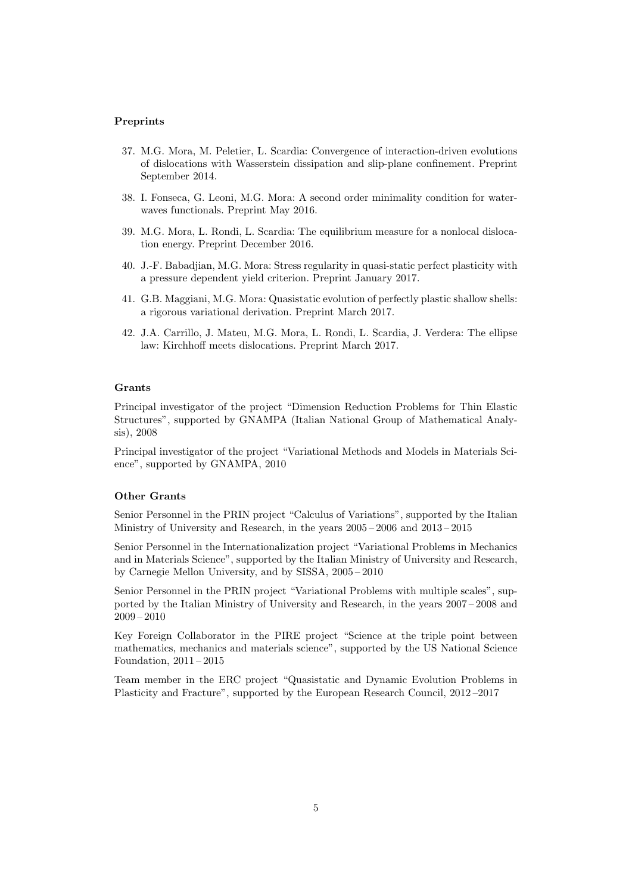#### Preprints

- 37. M.G. Mora, M. Peletier, L. Scardia: Convergence of interaction-driven evolutions of dislocations with Wasserstein dissipation and slip-plane confinement. Preprint September 2014.
- 38. I. Fonseca, G. Leoni, M.G. Mora: A second order minimality condition for waterwaves functionals. Preprint May 2016.
- 39. M.G. Mora, L. Rondi, L. Scardia: The equilibrium measure for a nonlocal dislocation energy. Preprint December 2016.
- 40. J.-F. Babadjian, M.G. Mora: Stress regularity in quasi-static perfect plasticity with a pressure dependent yield criterion. Preprint January 2017.
- 41. G.B. Maggiani, M.G. Mora: Quasistatic evolution of perfectly plastic shallow shells: a rigorous variational derivation. Preprint March 2017.
- 42. J.A. Carrillo, J. Mateu, M.G. Mora, L. Rondi, L. Scardia, J. Verdera: The ellipse law: Kirchhoff meets dislocations. Preprint March 2017.

# Grants

Principal investigator of the project "Dimension Reduction Problems for Thin Elastic Structures", supported by GNAMPA (Italian National Group of Mathematical Analysis), 2008

Principal investigator of the project "Variational Methods and Models in Materials Science", supported by GNAMPA, 2010

# Other Grants

Senior Personnel in the PRIN project "Calculus of Variations", supported by the Italian Ministry of University and Research, in the years 2005 – 2006 and 2013 – 2015

Senior Personnel in the Internationalization project "Variational Problems in Mechanics and in Materials Science", supported by the Italian Ministry of University and Research, by Carnegie Mellon University, and by SISSA, 2005 – 2010

Senior Personnel in the PRIN project "Variational Problems with multiple scales", supported by the Italian Ministry of University and Research, in the years 2007 – 2008 and 2009 – 2010

Key Foreign Collaborator in the PIRE project "Science at the triple point between mathematics, mechanics and materials science", supported by the US National Science Foundation, 2011 – 2015

Team member in the ERC project "Quasistatic and Dynamic Evolution Problems in Plasticity and Fracture", supported by the European Research Council, 2012 –2017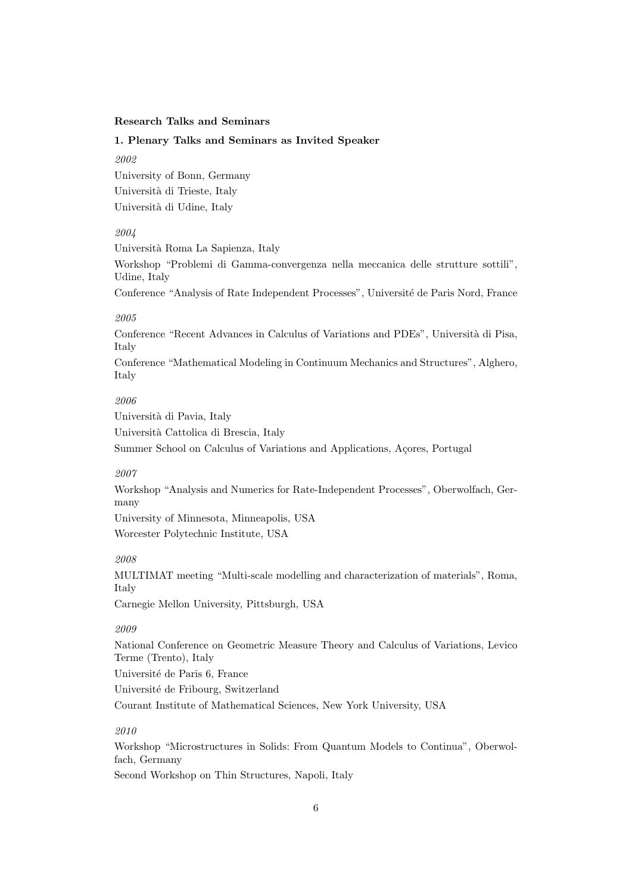# Research Talks and Seminars

# 1. Plenary Talks and Seminars as Invited Speaker

2002

University of Bonn, Germany Università di Trieste, Italy Università di Udine, Italy

# 2004

Universit`a Roma La Sapienza, Italy

Workshop "Problemi di Gamma-convergenza nella meccanica delle strutture sottili", Udine, Italy

Conference "Analysis of Rate Independent Processes", Université de Paris Nord, France

# 2005

Conference "Recent Advances in Calculus of Variations and PDEs", Università di Pisa, Italy

Conference "Mathematical Modeling in Continuum Mechanics and Structures", Alghero, Italy

# 2006

Università di Pavia, Italy

Universit`a Cattolica di Brescia, Italy

Summer School on Calculus of Variations and Applications, Açores, Portugal

### 2007

Workshop "Analysis and Numerics for Rate-Independent Processes", Oberwolfach, Germany

University of Minnesota, Minneapolis, USA Worcester Polytechnic Institute, USA

#### 2008

MULTIMAT meeting "Multi-scale modelling and characterization of materials", Roma, Italy

Carnegie Mellon University, Pittsburgh, USA

# 2009

National Conference on Geometric Measure Theory and Calculus of Variations, Levico Terme (Trento), Italy Université de Paris 6, France Université de Fribourg, Switzerland Courant Institute of Mathematical Sciences, New York University, USA

#### 2010

Workshop "Microstructures in Solids: From Quantum Models to Continua", Oberwolfach, Germany Second Workshop on Thin Structures, Napoli, Italy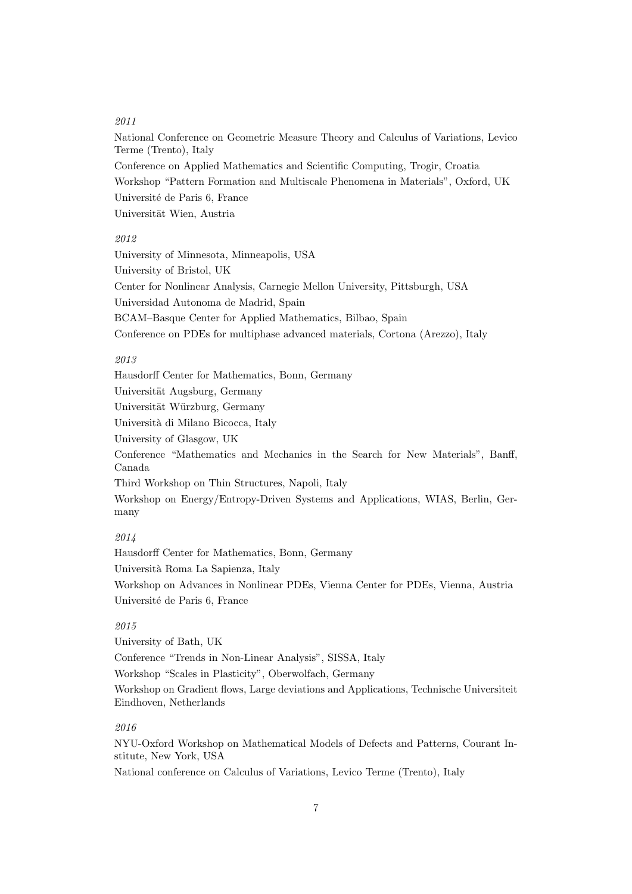# 2011

National Conference on Geometric Measure Theory and Calculus of Variations, Levico Terme (Trento), Italy Conference on Applied Mathematics and Scientific Computing, Trogir, Croatia Workshop "Pattern Formation and Multiscale Phenomena in Materials", Oxford, UK Université de Paris 6, France Universität Wien, Austria

# 2012

University of Minnesota, Minneapolis, USA University of Bristol, UK Center for Nonlinear Analysis, Carnegie Mellon University, Pittsburgh, USA Universidad Autonoma de Madrid, Spain BCAM–Basque Center for Applied Mathematics, Bilbao, Spain Conference on PDEs for multiphase advanced materials, Cortona (Arezzo), Italy

#### 2013

Hausdorff Center for Mathematics, Bonn, Germany Universität Augsburg, Germany Universität Würzburg, Germany Università di Milano Bicocca, Italy University of Glasgow, UK Conference "Mathematics and Mechanics in the Search for New Materials", Banff, Canada Third Workshop on Thin Structures, Napoli, Italy Workshop on Energy/Entropy-Driven Systems and Applications, WIAS, Berlin, Germany

# 2014

Hausdorff Center for Mathematics, Bonn, Germany Universit`a Roma La Sapienza, Italy Workshop on Advances in Nonlinear PDEs, Vienna Center for PDEs, Vienna, Austria Université de Paris 6, France

# 2015

University of Bath, UK Conference "Trends in Non-Linear Analysis", SISSA, Italy Workshop "Scales in Plasticity", Oberwolfach, Germany Workshop on Gradient flows, Large deviations and Applications, Technische Universiteit Eindhoven, Netherlands

# 2016

NYU-Oxford Workshop on Mathematical Models of Defects and Patterns, Courant Institute, New York, USA

National conference on Calculus of Variations, Levico Terme (Trento), Italy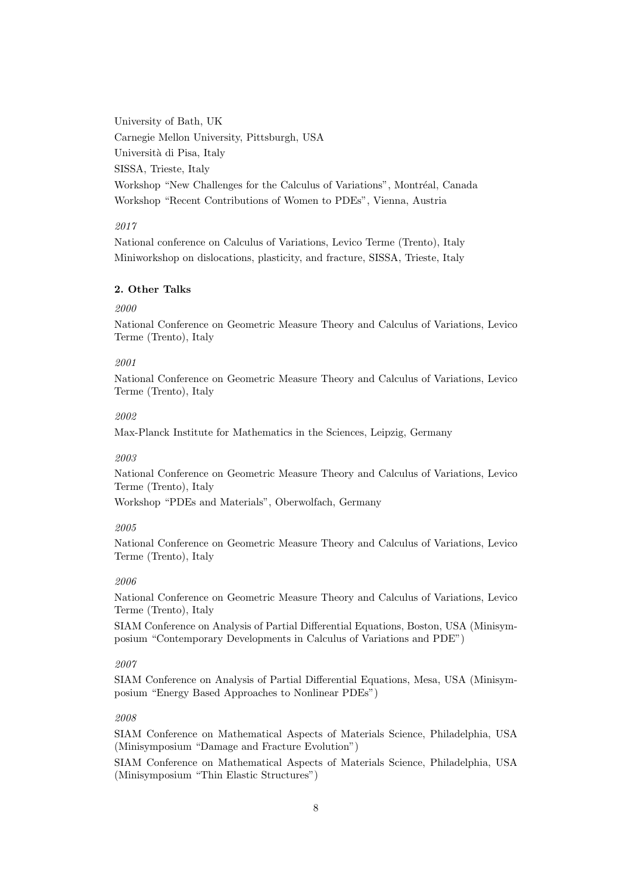University of Bath, UK Carnegie Mellon University, Pittsburgh, USA Università di Pisa, Italy SISSA, Trieste, Italy Workshop "New Challenges for the Calculus of Variations", Montréal, Canada Workshop "Recent Contributions of Women to PDEs", Vienna, Austria

# 2017

National conference on Calculus of Variations, Levico Terme (Trento), Italy Miniworkshop on dislocations, plasticity, and fracture, SISSA, Trieste, Italy

# 2. Other Talks

### 2000

National Conference on Geometric Measure Theory and Calculus of Variations, Levico Terme (Trento), Italy

### 2001

National Conference on Geometric Measure Theory and Calculus of Variations, Levico Terme (Trento), Italy

#### 2002

Max-Planck Institute for Mathematics in the Sciences, Leipzig, Germany

# 2003

National Conference on Geometric Measure Theory and Calculus of Variations, Levico Terme (Trento), Italy

Workshop "PDEs and Materials", Oberwolfach, Germany

# 2005

National Conference on Geometric Measure Theory and Calculus of Variations, Levico Terme (Trento), Italy

#### 2006

National Conference on Geometric Measure Theory and Calculus of Variations, Levico Terme (Trento), Italy

SIAM Conference on Analysis of Partial Differential Equations, Boston, USA (Minisymposium "Contemporary Developments in Calculus of Variations and PDE")

### 2007

SIAM Conference on Analysis of Partial Differential Equations, Mesa, USA (Minisymposium "Energy Based Approaches to Nonlinear PDEs")

# 2008

SIAM Conference on Mathematical Aspects of Materials Science, Philadelphia, USA (Minisymposium "Damage and Fracture Evolution")

SIAM Conference on Mathematical Aspects of Materials Science, Philadelphia, USA (Minisymposium "Thin Elastic Structures")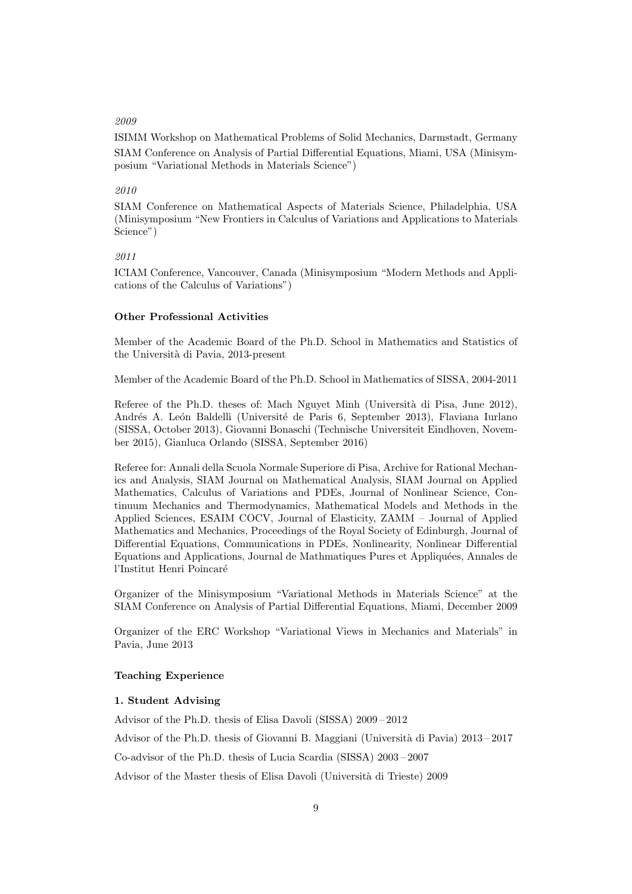#### 2009

ISIMM Workshop on Mathematical Problems of Solid Mechanics, Darmstadt, Germany SIAM Conference on Analysis of Partial Differential Equations, Miami, USA (Minisymposium "Variational Methods in Materials Science")

# 2010

SIAM Conference on Mathematical Aspects of Materials Science, Philadelphia, USA (Minisymposium "New Frontiers in Calculus of Variations and Applications to Materials Science")

### 2011

ICIAM Conference, Vancouver, Canada (Minisymposium "Modern Methods and Applications of the Calculus of Variations")

### Other Professional Activities

Member of the Academic Board of the Ph.D. School in Mathematics and Statistics of the Universit`a di Pavia, 2013-present

Member of the Academic Board of the Ph.D. School in Mathematics of SISSA, 2004-2011

Referee of the Ph.D. theses of: Mach Nguyet Minh (Università di Pisa, June 2012), Andrés A. León Baldelli (Université de Paris 6, September 2013), Flaviana Iurlano (SISSA, October 2013), Giovanni Bonaschi (Technische Universiteit Eindhoven, November 2015), Gianluca Orlando (SISSA, September 2016)

Referee for: Annali della Scuola Normale Superiore di Pisa, Archive for Rational Mechanics and Analysis, SIAM Journal on Mathematical Analysis, SIAM Journal on Applied Mathematics, Calculus of Variations and PDEs, Journal of Nonlinear Science, Continuum Mechanics and Thermodynamics, Mathematical Models and Methods in the Applied Sciences, ESAIM COCV, Journal of Elasticity, ZAMM – Journal of Applied Mathematics and Mechanics, Proceedings of the Royal Society of Edinburgh, Journal of Differential Equations, Communications in PDEs, Nonlinearity, Nonlinear Differential Equations and Applications, Journal de Mathmatiques Pures et Appliquées, Annales de l'Institut Henri Poincaré

Organizer of the Minisymposium "Variational Methods in Materials Science" at the SIAM Conference on Analysis of Partial Differential Equations, Miami, December 2009

Organizer of the ERC Workshop "Variational Views in Mechanics and Materials" in Pavia, June 2013

#### Teaching Experience

#### 1. Student Advising

Advisor of the Ph.D. thesis of Elisa Davoli (SISSA) 2009 – 2012

Advisor of the Ph.D. thesis of Giovanni B. Maggiani (Università di Pavia)  $2013 - 2017$ 

Co-advisor of the Ph.D. thesis of Lucia Scardia (SISSA) 2003 – 2007

Advisor of the Master thesis of Elisa Davoli (Universit`a di Trieste) 2009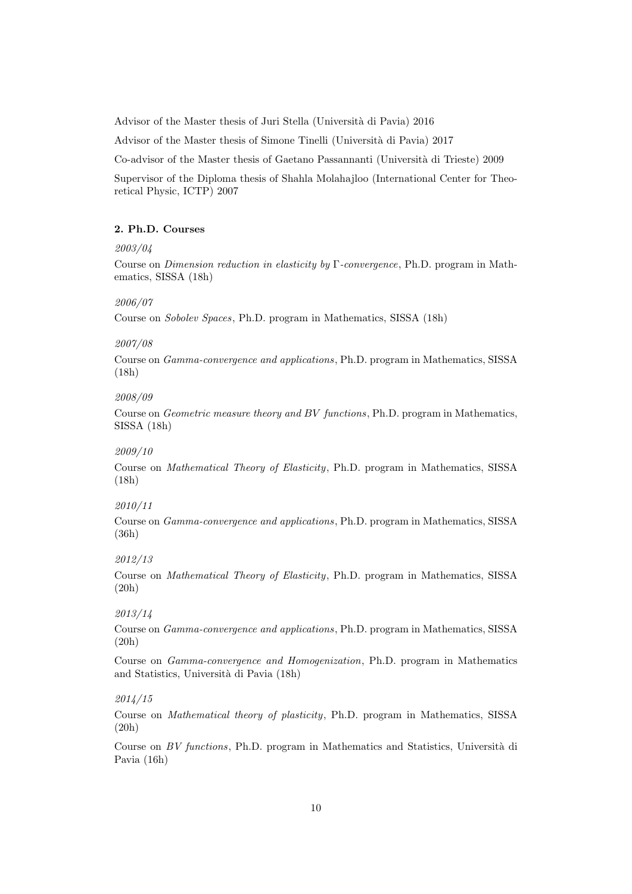Advisor of the Master thesis of Juri Stella (Università di Pavia) 2016

Advisor of the Master thesis of Simone Tinelli (Università di Pavia) 2017

Co-advisor of the Master thesis of Gaetano Passannanti (Universit`a di Trieste) 2009

Supervisor of the Diploma thesis of Shahla Molahajloo (International Center for Theoretical Physic, ICTP) 2007

### 2. Ph.D. Courses

#### 2003/04

Course on Dimension reduction in elasticity by Γ-convergence, Ph.D. program in Mathematics, SISSA (18h)

### 2006/07

Course on Sobolev Spaces, Ph.D. program in Mathematics, SISSA (18h)

### 2007/08

Course on Gamma-convergence and applications, Ph.D. program in Mathematics, SISSA (18h)

### 2008/09

Course on Geometric measure theory and BV functions, Ph.D. program in Mathematics, SISSA (18h)

#### 2009/10

Course on Mathematical Theory of Elasticity, Ph.D. program in Mathematics, SISSA (18h)

# 2010/11

Course on Gamma-convergence and applications, Ph.D. program in Mathematics, SISSA (36h)

#### 2012/13

Course on Mathematical Theory of Elasticity, Ph.D. program in Mathematics, SISSA (20h)

# 2013/14

Course on Gamma-convergence and applications, Ph.D. program in Mathematics, SISSA (20h)

Course on Gamma-convergence and Homogenization, Ph.D. program in Mathematics and Statistics, Universit`a di Pavia (18h)

### 2014/15

Course on Mathematical theory of plasticity, Ph.D. program in Mathematics, SISSA (20h)

Course on  $BV$  functions, Ph.D. program in Mathematics and Statistics, Università di Pavia (16h)